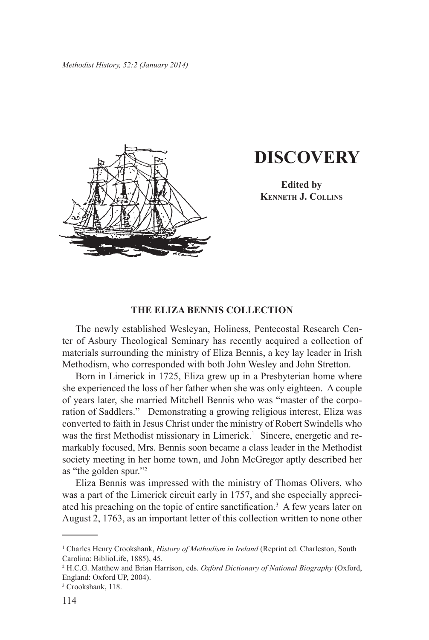

## **DISCOVERY**

**Edited by Kenneth J. Collins**

## **THE ELIZA BENNIS COLLECTION**

The newly established Wesleyan, Holiness, Pentecostal Research Center of Asbury Theological Seminary has recently acquired a collection of materials surrounding the ministry of Eliza Bennis, a key lay leader in Irish Methodism, who corresponded with both John Wesley and John Stretton.

Born in Limerick in 1725, Eliza grew up in a Presbyterian home where she experienced the loss of her father when she was only eighteen. A couple of years later, she married Mitchell Bennis who was "master of the corporation of Saddlers." Demonstrating a growing religious interest, Eliza was converted to faith in Jesus Christ under the ministry of Robert Swindells who was the first Methodist missionary in Limerick.<sup>1</sup> Sincere, energetic and remarkably focused, Mrs. Bennis soon became a class leader in the Methodist society meeting in her home town, and John McGregor aptly described her as "the golden spur."2

Eliza Bennis was impressed with the ministry of Thomas Olivers, who was a part of the Limerick circuit early in 1757, and she especially appreciated his preaching on the topic of entire sanctification.<sup>3</sup> A few years later on August 2, 1763, as an important letter of this collection written to none other

<sup>1</sup> Charles Henry Crookshank, *History of Methodism in Ireland* (Reprint ed. Charleston, South Carolina: BiblioLife, 1885), 45.

<sup>2</sup> H.C.G. Matthew and Brian Harrison, eds. *Oxford Dictionary of National Biography* (Oxford, England: Oxford UP, 2004).

<sup>3</sup> Crookshank, 118.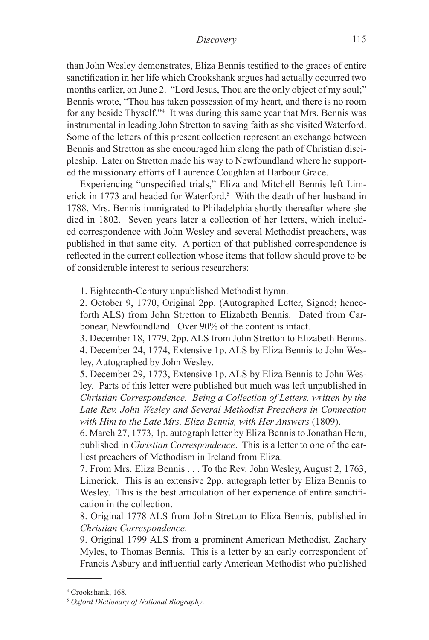than John Wesley demonstrates, Eliza Bennis testified to the graces of entire sanctification in her life which Crookshank argues had actually occurred two months earlier, on June 2. "Lord Jesus, Thou are the only object of my soul;" Bennis wrote, "Thou has taken possession of my heart, and there is no room for any beside Thyself."4 It was during this same year that Mrs. Bennis was instrumental in leading John Stretton to saving faith as she visited Waterford. Some of the letters of this present collection represent an exchange between Bennis and Stretton as she encouraged him along the path of Christian discipleship. Later on Stretton made his way to Newfoundland where he supported the missionary efforts of Laurence Coughlan at Harbour Grace.

Experiencing "unspecified trials," Eliza and Mitchell Bennis left Limerick in 1773 and headed for Waterford.<sup>5</sup> With the death of her husband in 1788, Mrs. Bennis immigrated to Philadelphia shortly thereafter where she died in 1802. Seven years later a collection of her letters, which included correspondence with John Wesley and several Methodist preachers, was published in that same city. A portion of that published correspondence is reflected in the current collection whose items that follow should prove to be of considerable interest to serious researchers:

1. Eighteenth-Century unpublished Methodist hymn.

2. October 9, 1770, Original 2pp. (Autographed Letter, Signed; henceforth ALS) from John Stretton to Elizabeth Bennis. Dated from Carbonear, Newfoundland. Over 90% of the content is intact.

3. December 18, 1779, 2pp. ALS from John Stretton to Elizabeth Bennis. 4. December 24, 1774, Extensive 1p. ALS by Eliza Bennis to John Wesley, Autographed by John Wesley.

5. December 29, 1773, Extensive 1p. ALS by Eliza Bennis to John Wesley. Parts of this letter were published but much was left unpublished in *Christian Correspondence. Being a Collection of Letters, written by the Late Rev. John Wesley and Several Methodist Preachers in Connection with Him to the Late Mrs. Eliza Bennis, with Her Answers* (1809).

6. March 27, 1773, 1p. autograph letter by Eliza Bennis to Jonathan Hern, published in *Christian Correspondence*. This is a letter to one of the earliest preachers of Methodism in Ireland from Eliza.

7. From Mrs. Eliza Bennis . . . To the Rev. John Wesley, August 2, 1763, Limerick. This is an extensive 2pp. autograph letter by Eliza Bennis to Wesley. This is the best articulation of her experience of entire sanctification in the collection.

8. Original 1778 ALS from John Stretton to Eliza Bennis, published in *Christian Correspondence*.

9. Original 1799 ALS from a prominent American Methodist, Zachary Myles, to Thomas Bennis. This is a letter by an early correspondent of Francis Asbury and influential early American Methodist who published

<sup>4</sup> Crookshank, 168.

<sup>5</sup> *Oxford Dictionary of National Biography*.